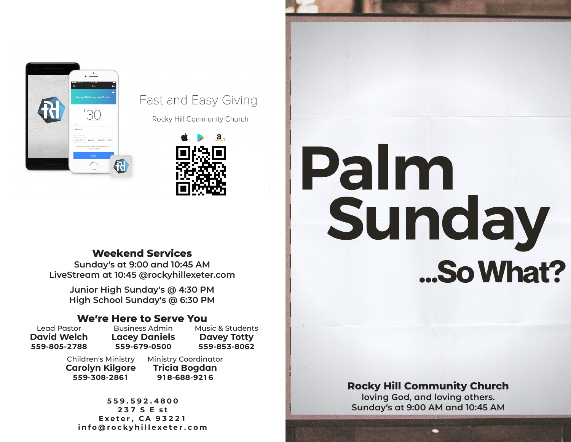

#### Fast and Easy Giving

Rocky Hill Community Church



### **Weekend Services**

**Sunday's at 9:00 and 10:45 AM LiveStream at 10:45 @rockyhillexeter.com**

> **Junior High Sunday's @ 4:30 PM High School Sunday's @ 6:30 PM**

#### **We're Here to Serve You**

Lead Pastor **David Welch 559-805-2788**

Business Admin **Lacey Daniels 559-679-0500**

Children's Ministry Ministry Coordinator **Carolyn Kilgore 559-308-2861**

**Tricia Bogdan 918-688-9216**

Music & Students **Davey Totty 559-853-8062**

**559.592.4800 237 S E st Exeter, CA 93221 info@rockyhillexeter.com**

# Palm Sunday ...So What?

#### **Rocky Hill Community Church**

**loving God, and loving others. Sunday's at 9:00 AM and 10:45 AM**